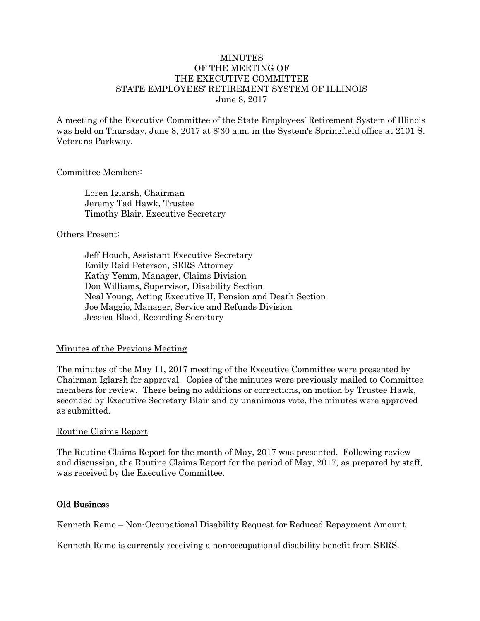## **MINUTES** OF THE MEETING OF THE EXECUTIVE COMMITTEE STATE EMPLOYEES' RETIREMENT SYSTEM OF ILLINOIS June 8, 2017

A meeting of the Executive Committee of the State Employees' Retirement System of Illinois was held on Thursday, June 8, 2017 at 8:30 a.m. in the System's Springfield office at 2101 S. Veterans Parkway.

## Committee Members:

Loren Iglarsh, Chairman Jeremy Tad Hawk, Trustee Timothy Blair, Executive Secretary

## Others Present:

Jeff Houch, Assistant Executive Secretary Emily Reid-Peterson, SERS Attorney Kathy Yemm, Manager, Claims Division Don Williams, Supervisor, Disability Section Neal Young, Acting Executive II, Pension and Death Section Joe Maggio, Manager, Service and Refunds Division Jessica Blood, Recording Secretary

## Minutes of the Previous Meeting

The minutes of the May 11, 2017 meeting of the Executive Committee were presented by Chairman Iglarsh for approval. Copies of the minutes were previously mailed to Committee members for review. There being no additions or corrections, on motion by Trustee Hawk, seconded by Executive Secretary Blair and by unanimous vote, the minutes were approved as submitted.

### Routine Claims Report

The Routine Claims Report for the month of May, 2017 was presented. Following review and discussion, the Routine Claims Report for the period of May, 2017, as prepared by staff, was received by the Executive Committee.

### Old Business

## Kenneth Remo – Non-Occupational Disability Request for Reduced Repayment Amount

Kenneth Remo is currently receiving a non-occupational disability benefit from SERS.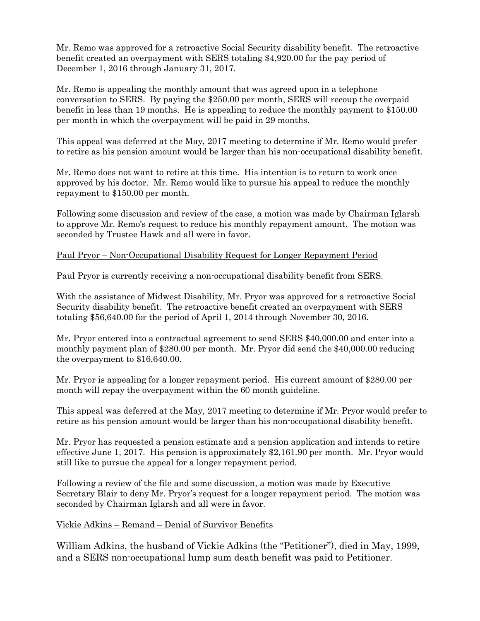Mr. Remo was approved for a retroactive Social Security disability benefit. The retroactive benefit created an overpayment with SERS totaling \$4,920.00 for the pay period of December 1, 2016 through January 31, 2017.

Mr. Remo is appealing the monthly amount that was agreed upon in a telephone conversation to SERS. By paying the \$250.00 per month, SERS will recoup the overpaid benefit in less than 19 months. He is appealing to reduce the monthly payment to \$150.00 per month in which the overpayment will be paid in 29 months.

This appeal was deferred at the May, 2017 meeting to determine if Mr. Remo would prefer to retire as his pension amount would be larger than his non-occupational disability benefit.

Mr. Remo does not want to retire at this time. His intention is to return to work once approved by his doctor. Mr. Remo would like to pursue his appeal to reduce the monthly repayment to \$150.00 per month.

Following some discussion and review of the case, a motion was made by Chairman Iglarsh to approve Mr. Remo's request to reduce his monthly repayment amount. The motion was seconded by Trustee Hawk and all were in favor.

## Paul Pryor – Non-Occupational Disability Request for Longer Repayment Period

Paul Pryor is currently receiving a non-occupational disability benefit from SERS.

With the assistance of Midwest Disability, Mr. Pryor was approved for a retroactive Social Security disability benefit. The retroactive benefit created an overpayment with SERS totaling \$56,640.00 for the period of April 1, 2014 through November 30, 2016.

Mr. Pryor entered into a contractual agreement to send SERS \$40,000.00 and enter into a monthly payment plan of \$280.00 per month. Mr. Pryor did send the \$40,000.00 reducing the overpayment to \$16,640.00.

Mr. Pryor is appealing for a longer repayment period. His current amount of \$280.00 per month will repay the overpayment within the 60 month guideline.

This appeal was deferred at the May, 2017 meeting to determine if Mr. Pryor would prefer to retire as his pension amount would be larger than his non-occupational disability benefit.

Mr. Pryor has requested a pension estimate and a pension application and intends to retire effective June 1, 2017. His pension is approximately \$2,161.90 per month. Mr. Pryor would still like to pursue the appeal for a longer repayment period.

Following a review of the file and some discussion, a motion was made by Executive Secretary Blair to deny Mr. Pryor's request for a longer repayment period. The motion was seconded by Chairman Iglarsh and all were in favor.

### Vickie Adkins – Remand – Denial of Survivor Benefits

William Adkins, the husband of Vickie Adkins (the "Petitioner"), died in May, 1999, and a SERS non-occupational lump sum death benefit was paid to Petitioner.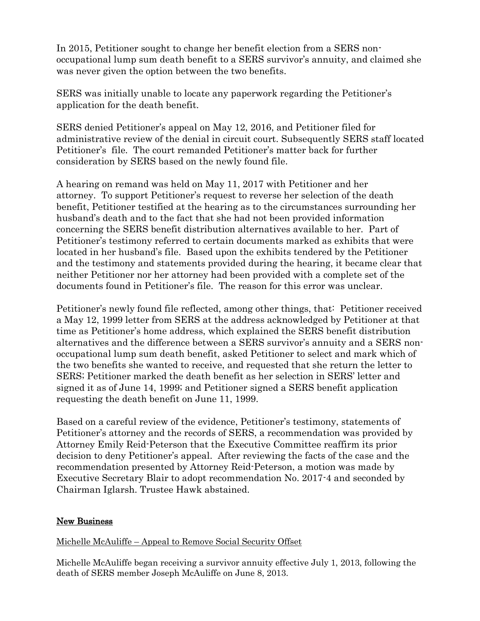In 2015, Petitioner sought to change her benefit election from a SERS nonoccupational lump sum death benefit to a SERS survivor's annuity, and claimed she was never given the option between the two benefits.

SERS was initially unable to locate any paperwork regarding the Petitioner's application for the death benefit.

SERS denied Petitioner's appeal on May 12, 2016, and Petitioner filed for administrative review of the denial in circuit court. Subsequently SERS staff located Petitioner's file. The court remanded Petitioner's matter back for further consideration by SERS based on the newly found file.

A hearing on remand was held on May 11, 2017 with Petitioner and her attorney. To support Petitioner's request to reverse her selection of the death benefit, Petitioner testified at the hearing as to the circumstances surrounding her husband's death and to the fact that she had not been provided information concerning the SERS benefit distribution alternatives available to her. Part of Petitioner's testimony referred to certain documents marked as exhibits that were located in her husband's file. Based upon the exhibits tendered by the Petitioner and the testimony and statements provided during the hearing, it became clear that neither Petitioner nor her attorney had been provided with a complete set of the documents found in Petitioner's file. The reason for this error was unclear.

Petitioner's newly found file reflected, among other things, that: Petitioner received a May 12, 1999 letter from SERS at the address acknowledged by Petitioner at that time as Petitioner's home address, which explained the SERS benefit distribution alternatives and the difference between a SERS survivor's annuity and a SERS nonoccupational lump sum death benefit, asked Petitioner to select and mark which of the two benefits she wanted to receive, and requested that she return the letter to SERS; Petitioner marked the death benefit as her selection in SERS' letter and signed it as of June 14, 1999; and Petitioner signed a SERS benefit application requesting the death benefit on June 11, 1999.

Based on a careful review of the evidence, Petitioner's testimony, statements of Petitioner's attorney and the records of SERS, a recommendation was provided by Attorney Emily Reid-Peterson that the Executive Committee reaffirm its prior decision to deny Petitioner's appeal. After reviewing the facts of the case and the recommendation presented by Attorney Reid-Peterson, a motion was made by Executive Secretary Blair to adopt recommendation No. 2017-4 and seconded by Chairman Iglarsh. Trustee Hawk abstained.

# New Business

# Michelle McAuliffe – Appeal to Remove Social Security Offset

Michelle McAuliffe began receiving a survivor annuity effective July 1, 2013, following the death of SERS member Joseph McAuliffe on June 8, 2013.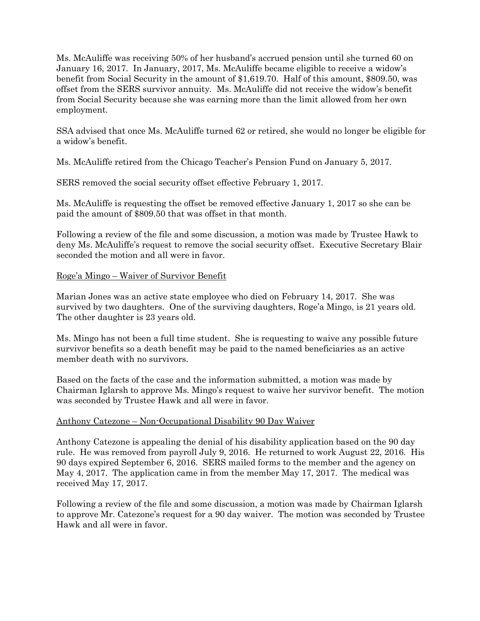Ms. McAuliffe was receiving 50% of her husband's accrued pension until she turned 60 on January 16, 2017. In January, 2017, Ms. McAuliffe became eligible to receive a widow's benefit from Social Security in the amount of \$1,619.70. Half of this amount, \$809.50, was offset from the SERS survivor annuity. Ms. McAuliffe did not receive the widow's benefit from Social Security because she was earning more than the limit allowed from her own employment.

SSA advised that once Ms. McAuliffe turned 62 or retired, she would no longer be eligible for a widow's benefit.

Ms. McAuliffe retired from the Chicago Teacher's Pension Fund on January 5, 2017.

SERS removed the social security offset effective February 1, 2017.

Ms. McAuliffe is requesting the offset be removed effective January 1, 2017 so she can be paid the amount of \$809.50 that was offset in that month.

Following a review of the file and some discussion, a motion was made by Trustee Hawk to deny Ms. McAuliffe's request to remove the social security offset. Executive Secretary Blair seconded the motion and all were in favor.

## Roge'a Mingo – Waiver of Survivor Benefit

Marian Jones was an active state employee who died on February 14, 2017. She was survived by two daughters. One of the surviving daughters, Roge'a Mingo, is 21 years old. The other daughter is 23 years old.

Ms. Mingo has not been a full time student. She is requesting to waive any possible future survivor benefits so a death benefit may be paid to the named beneficiaries as an active member death with no survivors.

Based on the facts of the case and the information submitted, a motion was made by Chairman Iglarsh to approve Ms. Mingo's request to waive her survivor benefit. The motion was seconded by Trustee Hawk and all were in favor.

## Anthony Catezone – Non-Occupational Disability 90 Day Waiver

Anthony Catezone is appealing the denial of his disability application based on the 90 day rule. He was removed from payroll July 9, 2016. He returned to work August 22, 2016. His 90 days expired September 6, 2016. SERS mailed forms to the member and the agency on May 4, 2017. The application came in from the member May 17, 2017. The medical was received May 17, 2017.

Following a review of the file and some discussion, a motion was made by Chairman Iglarsh to approve Mr. Catezone's request for a 90 day waiver. The motion was seconded by Trustee Hawk and all were in favor.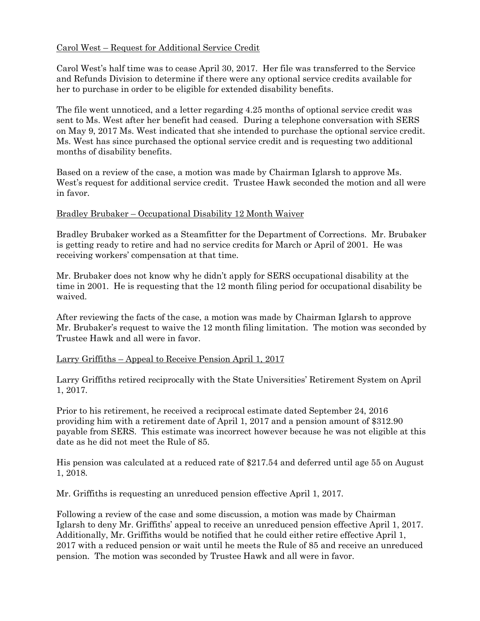# Carol West – Request for Additional Service Credit

Carol West's half time was to cease April 30, 2017. Her file was transferred to the Service and Refunds Division to determine if there were any optional service credits available for her to purchase in order to be eligible for extended disability benefits.

The file went unnoticed, and a letter regarding 4.25 months of optional service credit was sent to Ms. West after her benefit had ceased. During a telephone conversation with SERS on May 9, 2017 Ms. West indicated that she intended to purchase the optional service credit. Ms. West has since purchased the optional service credit and is requesting two additional months of disability benefits.

Based on a review of the case, a motion was made by Chairman Iglarsh to approve Ms. West's request for additional service credit. Trustee Hawk seconded the motion and all were in favor.

## Bradley Brubaker – Occupational Disability 12 Month Waiver

Bradley Brubaker worked as a Steamfitter for the Department of Corrections. Mr. Brubaker is getting ready to retire and had no service credits for March or April of 2001. He was receiving workers' compensation at that time.

Mr. Brubaker does not know why he didn't apply for SERS occupational disability at the time in 2001. He is requesting that the 12 month filing period for occupational disability be waived.

After reviewing the facts of the case, a motion was made by Chairman Iglarsh to approve Mr. Brubaker's request to waive the 12 month filing limitation. The motion was seconded by Trustee Hawk and all were in favor.

## Larry Griffiths – Appeal to Receive Pension April 1, 2017

Larry Griffiths retired reciprocally with the State Universities' Retirement System on April 1, 2017.

Prior to his retirement, he received a reciprocal estimate dated September 24, 2016 providing him with a retirement date of April 1, 2017 and a pension amount of \$312.90 payable from SERS. This estimate was incorrect however because he was not eligible at this date as he did not meet the Rule of 85.

His pension was calculated at a reduced rate of \$217.54 and deferred until age 55 on August 1, 2018.

Mr. Griffiths is requesting an unreduced pension effective April 1, 2017.

Following a review of the case and some discussion, a motion was made by Chairman Iglarsh to deny Mr. Griffiths' appeal to receive an unreduced pension effective April 1, 2017. Additionally, Mr. Griffiths would be notified that he could either retire effective April 1, 2017 with a reduced pension or wait until he meets the Rule of 85 and receive an unreduced pension. The motion was seconded by Trustee Hawk and all were in favor.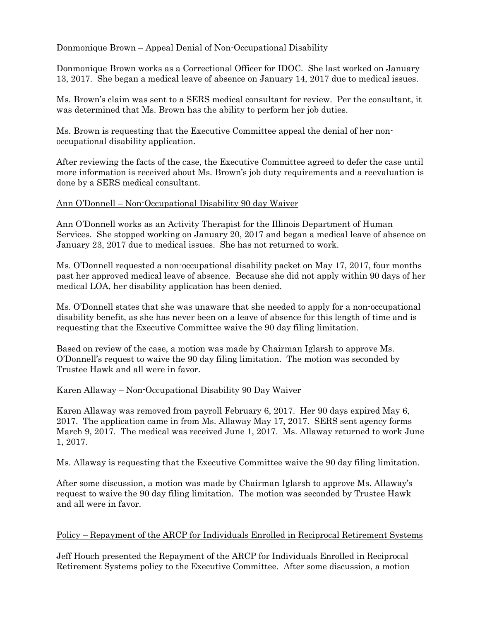# Donmonique Brown – Appeal Denial of Non-Occupational Disability

Donmonique Brown works as a Correctional Officer for IDOC. She last worked on January 13, 2017. She began a medical leave of absence on January 14, 2017 due to medical issues.

Ms. Brown's claim was sent to a SERS medical consultant for review. Per the consultant, it was determined that Ms. Brown has the ability to perform her job duties.

Ms. Brown is requesting that the Executive Committee appeal the denial of her nonoccupational disability application.

After reviewing the facts of the case, the Executive Committee agreed to defer the case until more information is received about Ms. Brown's job duty requirements and a reevaluation is done by a SERS medical consultant.

## Ann O'Donnell – Non-Occupational Disability 90 day Waiver

Ann O'Donnell works as an Activity Therapist for the Illinois Department of Human Services. She stopped working on January 20, 2017 and began a medical leave of absence on January 23, 2017 due to medical issues. She has not returned to work.

Ms. O'Donnell requested a non-occupational disability packet on May 17, 2017, four months past her approved medical leave of absence. Because she did not apply within 90 days of her medical LOA, her disability application has been denied.

Ms. O'Donnell states that she was unaware that she needed to apply for a non-occupational disability benefit, as she has never been on a leave of absence for this length of time and is requesting that the Executive Committee waive the 90 day filing limitation.

Based on review of the case, a motion was made by Chairman Iglarsh to approve Ms. O'Donnell's request to waive the 90 day filing limitation. The motion was seconded by Trustee Hawk and all were in favor.

### Karen Allaway – Non-Occupational Disability 90 Day Waiver

Karen Allaway was removed from payroll February 6, 2017. Her 90 days expired May 6, 2017. The application came in from Ms. Allaway May 17, 2017. SERS sent agency forms March 9, 2017. The medical was received June 1, 2017. Ms. Allaway returned to work June 1, 2017.

Ms. Allaway is requesting that the Executive Committee waive the 90 day filing limitation.

After some discussion, a motion was made by Chairman Iglarsh to approve Ms. Allaway's request to waive the 90 day filing limitation. The motion was seconded by Trustee Hawk and all were in favor.

## Policy – Repayment of the ARCP for Individuals Enrolled in Reciprocal Retirement Systems

Jeff Houch presented the Repayment of the ARCP for Individuals Enrolled in Reciprocal Retirement Systems policy to the Executive Committee. After some discussion, a motion